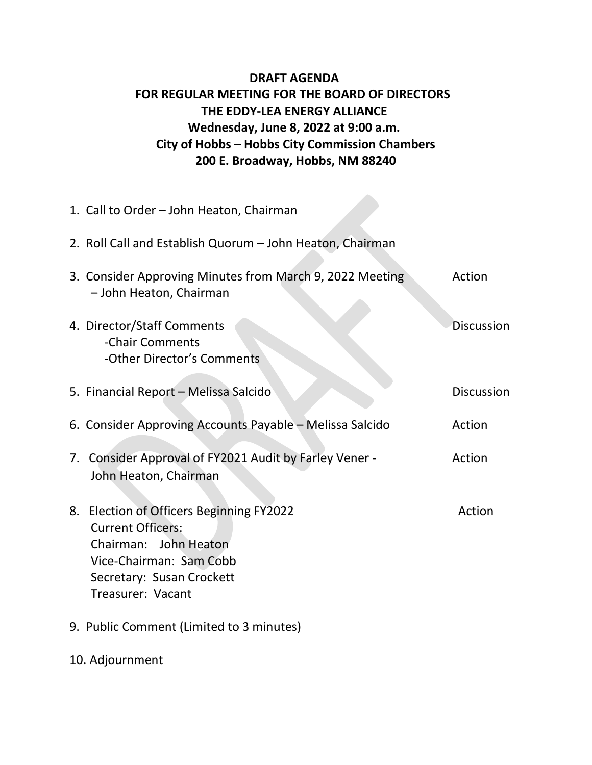## **DRAFT AGENDA FOR REGULAR MEETING FOR THE BOARD OF DIRECTORS THE EDDY-LEA ENERGY ALLIANCE Wednesday, June 8, 2022 at 9:00 a.m. City of Hobbs – Hobbs City Commission Chambers 200 E. Broadway, Hobbs, NM 88240**

**START** 

|    | 1. Call to Order - John Heaton, Chairman                                                                                                                                |                   |
|----|-------------------------------------------------------------------------------------------------------------------------------------------------------------------------|-------------------|
|    | 2. Roll Call and Establish Quorum - John Heaton, Chairman                                                                                                               |                   |
|    | 3. Consider Approving Minutes from March 9, 2022 Meeting<br>- John Heaton, Chairman                                                                                     | Action            |
|    | 4. Director/Staff Comments<br>-Chair Comments<br>-Other Director's Comments                                                                                             | <b>Discussion</b> |
|    | 5. Financial Report - Melissa Salcido                                                                                                                                   | <b>Discussion</b> |
|    | 6. Consider Approving Accounts Payable - Melissa Salcido                                                                                                                | Action            |
|    | 7. Consider Approval of FY2021 Audit by Farley Vener -<br>John Heaton, Chairman                                                                                         | Action            |
| 8. | Election of Officers Beginning FY2022<br><b>Current Officers:</b><br>Chairman: John Heaton<br>Vice-Chairman: Sam Cobb<br>Secretary: Susan Crockett<br>Treasurer: Vacant | Action            |
|    | 9. Public Comment (Limited to 3 minutes)                                                                                                                                |                   |

10. Adjournment